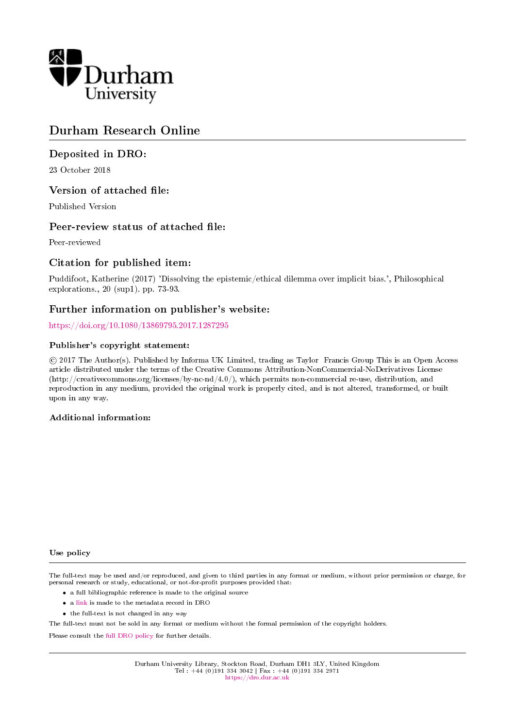

# Durham Research Online

# Deposited in DRO:

23 October 2018

# Version of attached file:

Published Version

# Peer-review status of attached file:

Peer-reviewed

# Citation for published item:

Puddifoot, Katherine (2017) 'Dissolving the epistemic/ethical dilemma over implicit bias.', Philosophical explorations., 20 (sup1). pp. 73-93.

# Further information on publisher's website:

<https://doi.org/10.1080/13869795.2017.1287295>

## Publisher's copyright statement:

 c 2017 The Author(s). Published by Informa UK Limited, trading as Taylor Francis Group This is an Open Access article distributed under the terms of the Creative Commons Attribution-NonCommercial-NoDerivatives License (http://creativecommons.org/licenses/by-nc-nd/4.0/), which permits non-commercial re-use, distribution, and reproduction in any medium, provided the original work is properly cited, and is not altered, transformed, or built upon in any way.

## Additional information:

## Use policy

The full-text may be used and/or reproduced, and given to third parties in any format or medium, without prior permission or charge, for personal research or study, educational, or not-for-profit purposes provided that:

- a full bibliographic reference is made to the original source
- a [link](http://dro.dur.ac.uk/26588/) is made to the metadata record in DRO
- the full-text is not changed in any way

The full-text must not be sold in any format or medium without the formal permission of the copyright holders.

Please consult the [full DRO policy](https://dro.dur.ac.uk/policies/usepolicy.pdf) for further details.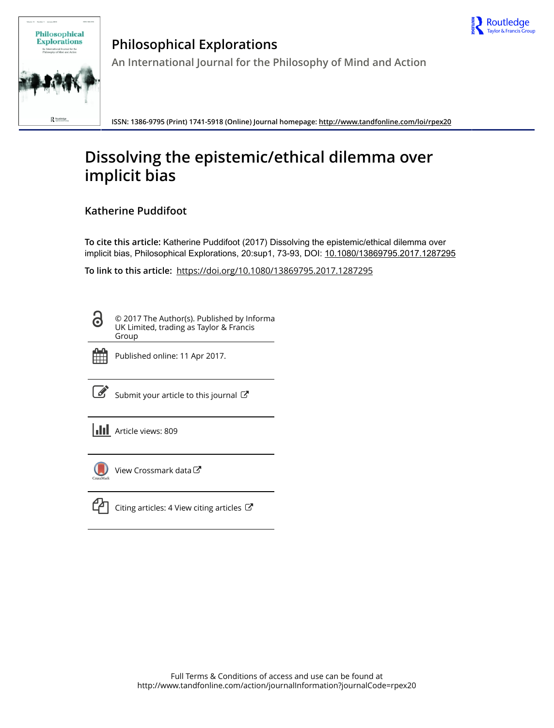



**Philosophical Explorations An International Journal for the Philosophy of Mind and Action**

**ISSN: 1386-9795 (Print) 1741-5918 (Online) Journal homepage:<http://www.tandfonline.com/loi/rpex20>**

# **Dissolving the epistemic/ethical dilemma over implicit bias**

# **Katherine Puddifoot**

**To cite this article:** Katherine Puddifoot (2017) Dissolving the epistemic/ethical dilemma over implicit bias, Philosophical Explorations, 20:sup1, 73-93, DOI: [10.1080/13869795.2017.1287295](http://www.tandfonline.com/action/showCitFormats?doi=10.1080/13869795.2017.1287295)

**To link to this article:** <https://doi.org/10.1080/13869795.2017.1287295>

© 2017 The Author(s). Published by Informa UK Limited, trading as Taylor & Francis Group



 $\partial$ 

Published online: 11 Apr 2017.

[Submit your article to this journal](http://www.tandfonline.com/action/authorSubmission?journalCode=rpex20&show=instructions)  $\mathbb{Z}$ 

**III** Article views: 809



[View Crossmark data](http://crossmark.crossref.org/dialog/?doi=10.1080/13869795.2017.1287295&domain=pdf&date_stamp=2017-04-11)<sup>C</sup>



[Citing articles: 4 View citing articles](http://www.tandfonline.com/doi/citedby/10.1080/13869795.2017.1287295#tabModule)  $\mathbb{Z}$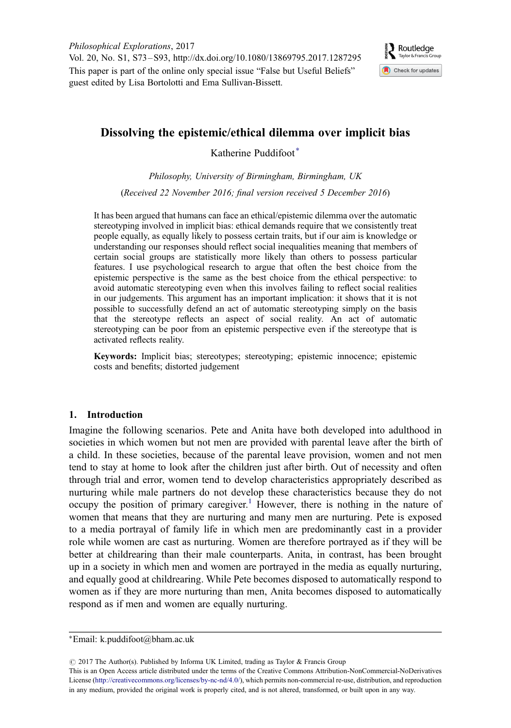

This paper is part of the online only special issue "False but Useful Beliefs" guest edited by Lisa Bortolotti and Ema Sullivan-Bissett.

# Dissolving the epistemic/ethical dilemma over implicit bias

Katherine Puddifoot <sup>∗</sup>

Philosophy, University of Birmingham, Birmingham, UK

(Received 22 November 2016; final version received 5 December 2016)

It has been argued that humans can face an ethical/epistemic dilemma over the automatic stereotyping involved in implicit bias: ethical demands require that we consistently treat people equally, as equally likely to possess certain traits, but if our aim is knowledge or understanding our responses should reflect social inequalities meaning that members of certain social groups are statistically more likely than others to possess particular features. I use psychological research to argue that often the best choice from the epistemic perspective is the same as the best choice from the ethical perspective: to avoid automatic stereotyping even when this involves failing to reflect social realities in our judgements. This argument has an important implication: it shows that it is not possible to successfully defend an act of automatic stereotyping simply on the basis that the stereotype reflects an aspect of social reality. An act of automatic stereotyping can be poor from an epistemic perspective even if the stereotype that is activated reflects reality.

Keywords: Implicit bias; stereotypes; stereotyping; epistemic innocence; epistemic costs and benefits; distorted judgement

## 1. Introduction

Imagine the following scenarios. Pete and Anita have both developed into adulthood in societies in which women but not men are provided with parental leave after the birth of a child. In these societies, because of the parental leave provision, women and not men tend to stay at home to look after the children just after birth. Out of necessity and often through trial and error, women tend to develop characteristics appropriately described as nurturing while male partners do not develop these characteristics because they do not occupy the position of primary caregiver.<sup>[1](#page-19-0)</sup> However, there is nothing in the nature of women that means that they are nurturing and many men are nurturing. Pete is exposed to a media portrayal of family life in which men are predominantly cast in a provider role while women are cast as nurturing. Women are therefore portrayed as if they will be better at childrearing than their male counterparts. Anita, in contrast, has been brought up in a society in which men and women are portrayed in the media as equally nurturing, and equally good at childrearing. While Pete becomes disposed to automatically respond to women as if they are more nurturing than men, Anita becomes disposed to automatically respond as if men and women are equally nurturing.

<sup>∗</sup>Email: [k.puddifoot@bham.ac.uk](mailto:k.puddifoot@bham.ac.uk)

 $\odot$  2017 The Author(s). Published by Informa UK Limited, trading as Taylor & Francis Group

This is an Open Access article distributed under the terms of the Creative Commons Attribution-NonCommercial-NoDerivatives License ([http://creativecommons.org/licenses/by-nc-nd/4.0/\)](http://creativecommons.org/licenses/by-nc-nd/4.0/), which permits non-commercial re-use, distribution, and reproduction in any medium, provided the original work is properly cited, and is not altered, transformed, or built upon in any way.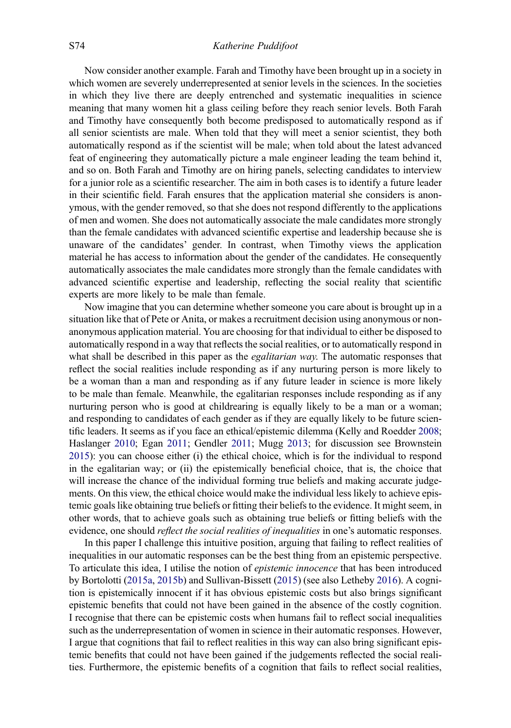<span id="page-3-0"></span>Now consider another example. Farah and Timothy have been brought up in a society in which women are severely underrepresented at senior levels in the sciences. In the societies in which they live there are deeply entrenched and systematic inequalities in science meaning that many women hit a glass ceiling before they reach senior levels. Both Farah and Timothy have consequently both become predisposed to automatically respond as if all senior scientists are male. When told that they will meet a senior scientist, they both automatically respond as if the scientist will be male; when told about the latest advanced feat of engineering they automatically picture a male engineer leading the team behind it, and so on. Both Farah and Timothy are on hiring panels, selecting candidates to interview for a junior role as a scientific researcher. The aim in both cases is to identify a future leader in their scientific field. Farah ensures that the application material she considers is anonymous, with the gender removed, so that she does not respond differently to the applications of men and women. She does not automatically associate the male candidates more strongly than the female candidates with advanced scientific expertise and leadership because she is unaware of the candidates' gender. In contrast, when Timothy views the application material he has access to information about the gender of the candidates. He consequently automatically associates the male candidates more strongly than the female candidates with advanced scientific expertise and leadership, reflecting the social reality that scientific experts are more likely to be male than female.

Now imagine that you can determine whether someone you care about is brought up in a situation like that of Pete or Anita, or makes a recruitment decision using anonymous or nonanonymous application material. You are choosing for that individual to either be disposed to automatically respond in a way that reflects the social realities, or to automatically respond in what shall be described in this paper as the *egalitarian way*. The automatic responses that reflect the social realities include responding as if any nurturing person is more likely to be a woman than a man and responding as if any future leader in science is more likely to be male than female. Meanwhile, the egalitarian responses include responding as if any nurturing person who is good at childrearing is equally likely to be a man or a woman; and responding to candidates of each gender as if they are equally likely to be future scientific leaders. It seems as if you face an ethical/epistemic dilemma (Kelly and Roedder [2008;](#page-21-0) Haslanger [2010](#page-21-0); Egan [2011](#page-21-0); Gendler [2011;](#page-21-0) Mugg [2013](#page-22-0); for discussion see Brownstein [2015\)](#page-20-0): you can choose either (i) the ethical choice, which is for the individual to respond in the egalitarian way; or (ii) the epistemically beneficial choice, that is, the choice that will increase the chance of the individual forming true beliefs and making accurate judgements. On this view, the ethical choice would make the individual less likely to achieve epistemic goals like obtaining true beliefs or fitting their beliefs to the evidence. It might seem, in other words, that to achieve goals such as obtaining true beliefs or fitting beliefs with the evidence, one should *reflect the social realities of inequalities* in one's automatic responses.

In this paper I challenge this intuitive position, arguing that failing to reflect realities of inequalities in our automatic responses can be the best thing from an epistemic perspective. To articulate this idea, I utilise the notion of epistemic innocence that has been introduced by Bortolotti ([2015a](#page-20-0), [2015b\)](#page-20-0) and Sullivan-Bissett ([2015\)](#page-22-0) (see also Letheby [2016\)](#page-21-0). A cognition is epistemically innocent if it has obvious epistemic costs but also brings significant epistemic benefits that could not have been gained in the absence of the costly cognition. I recognise that there can be epistemic costs when humans fail to reflect social inequalities such as the underrepresentation of women in science in their automatic responses. However, I argue that cognitions that fail to reflect realities in this way can also bring significant epistemic benefits that could not have been gained if the judgements reflected the social realities. Furthermore, the epistemic benefits of a cognition that fails to reflect social realities,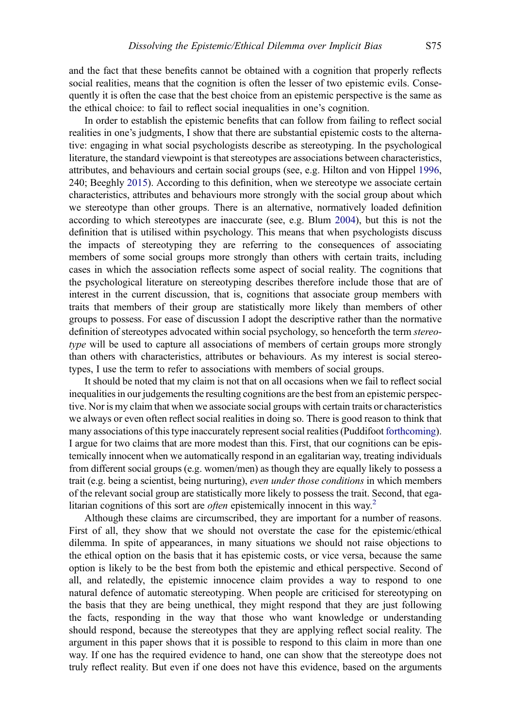<span id="page-4-0"></span>and the fact that these benefits cannot be obtained with a cognition that properly reflects social realities, means that the cognition is often the lesser of two epistemic evils. Consequently it is often the case that the best choice from an epistemic perspective is the same as the ethical choice: to fail to reflect social inequalities in one's cognition.

In order to establish the epistemic benefits that can follow from failing to reflect social realities in one's judgments, I show that there are substantial epistemic costs to the alternative: engaging in what social psychologists describe as stereotyping. In the psychological literature, the standard viewpoint is that stereotypes are associations between characteristics, attributes, and behaviours and certain social groups (see, e.g. Hilton and von Hippel [1996](#page-21-0), 240; Beeghly [2015\)](#page-20-0). According to this definition, when we stereotype we associate certain characteristics, attributes and behaviours more strongly with the social group about which we stereotype than other groups. There is an alternative, normatively loaded definition according to which stereotypes are inaccurate (see, e.g. Blum [2004](#page-20-0)), but this is not the definition that is utilised within psychology. This means that when psychologists discuss the impacts of stereotyping they are referring to the consequences of associating members of some social groups more strongly than others with certain traits, including cases in which the association reflects some aspect of social reality. The cognitions that the psychological literature on stereotyping describes therefore include those that are of interest in the current discussion, that is, cognitions that associate group members with traits that members of their group are statistically more likely than members of other groups to possess. For ease of discussion I adopt the descriptive rather than the normative definition of stereotypes advocated within social psychology, so henceforth the term stereotype will be used to capture all associations of members of certain groups more strongly than others with characteristics, attributes or behaviours. As my interest is social stereotypes, I use the term to refer to associations with members of social groups.

It should be noted that my claim is not that on all occasions when we fail to reflect social inequalities in our judgements the resulting cognitions are the best from an epistemic perspective. Nor is my claim that when we associate social groups with certain traits or characteristics we always or even often reflect social realities in doing so. There is good reason to think that many associations of this type inaccurately represent social realities (Puddifoot [forthcoming\)](#page-22-0). I argue for two claims that are more modest than this. First, that our cognitions can be epistemically innocent when we automatically respond in an egalitarian way, treating individuals from different social groups (e.g. women/men) as though they are equally likely to possess a trait (e.g. being a scientist, being nurturing), even under those conditions in which members of the relevant social group are statistically more likely to possess the trait. Second, that egalitarian cognitions of this sort are *often* epistemically innocent in this way.<sup>[2](#page-19-0)</sup>

Although these claims are circumscribed, they are important for a number of reasons. First of all, they show that we should not overstate the case for the epistemic/ethical dilemma. In spite of appearances, in many situations we should not raise objections to the ethical option on the basis that it has epistemic costs, or vice versa, because the same option is likely to be the best from both the epistemic and ethical perspective. Second of all, and relatedly, the epistemic innocence claim provides a way to respond to one natural defence of automatic stereotyping. When people are criticised for stereotyping on the basis that they are being unethical, they might respond that they are just following the facts, responding in the way that those who want knowledge or understanding should respond, because the stereotypes that they are applying reflect social reality. The argument in this paper shows that it is possible to respond to this claim in more than one way. If one has the required evidence to hand, one can show that the stereotype does not truly reflect reality. But even if one does not have this evidence, based on the arguments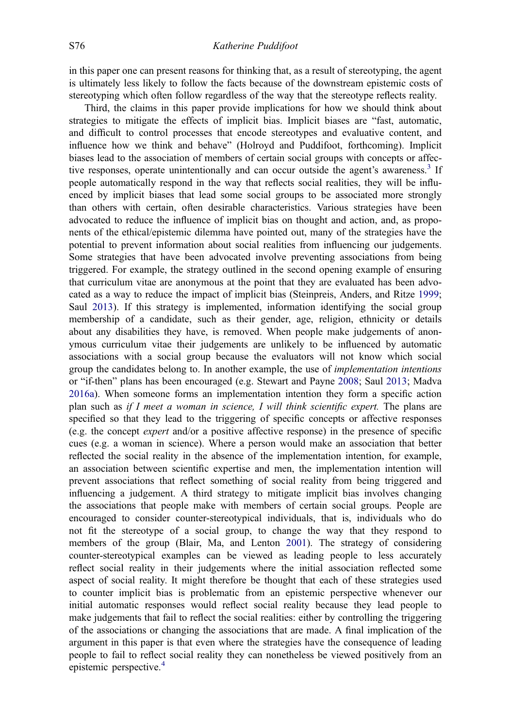<span id="page-5-0"></span>in this paper one can present reasons for thinking that, as a result of stereotyping, the agent is ultimately less likely to follow the facts because of the downstream epistemic costs of stereotyping which often follow regardless of the way that the stereotype reflects reality.

Third, the claims in this paper provide implications for how we should think about strategies to mitigate the effects of implicit bias. Implicit biases are "fast, automatic, and difficult to control processes that encode stereotypes and evaluative content, and influence how we think and behave" (Holroyd and Puddifoot, forthcoming). Implicit biases lead to the association of members of certain social groups with concepts or affec-tive responses, operate unintentionally and can occur outside the agent's awareness.<sup>[3](#page-19-0)</sup> If people automatically respond in the way that reflects social realities, they will be influenced by implicit biases that lead some social groups to be associated more strongly than others with certain, often desirable characteristics. Various strategies have been advocated to reduce the influence of implicit bias on thought and action, and, as proponents of the ethical/epistemic dilemma have pointed out, many of the strategies have the potential to prevent information about social realities from influencing our judgements. Some strategies that have been advocated involve preventing associations from being triggered. For example, the strategy outlined in the second opening example of ensuring that curriculum vitae are anonymous at the point that they are evaluated has been advocated as a way to reduce the impact of implicit bias (Steinpreis, Anders, and Ritze [1999;](#page-22-0) Saul [2013](#page-22-0)). If this strategy is implemented, information identifying the social group membership of a candidate, such as their gender, age, religion, ethnicity or details about any disabilities they have, is removed. When people make judgements of anonymous curriculum vitae their judgements are unlikely to be influenced by automatic associations with a social group because the evaluators will not know which social group the candidates belong to. In another example, the use of implementation intentions or "if-then" plans has been encouraged (e.g. Stewart and Payne [2008;](#page-22-0) Saul [2013](#page-22-0); Madva [2016a\)](#page-21-0). When someone forms an implementation intention they form a specific action plan such as if I meet a woman in science, I will think scientific expert. The plans are specified so that they lead to the triggering of specific concepts or affective responses (e.g. the concept expert and/or a positive affective response) in the presence of specific cues (e.g. a woman in science). Where a person would make an association that better reflected the social reality in the absence of the implementation intention, for example, an association between scientific expertise and men, the implementation intention will prevent associations that reflect something of social reality from being triggered and influencing a judgement. A third strategy to mitigate implicit bias involves changing the associations that people make with members of certain social groups. People are encouraged to consider counter-stereotypical individuals, that is, individuals who do not fit the stereotype of a social group, to change the way that they respond to members of the group (Blair, Ma, and Lenton [2001](#page-20-0)). The strategy of considering counter-stereotypical examples can be viewed as leading people to less accurately reflect social reality in their judgements where the initial association reflected some aspect of social reality. It might therefore be thought that each of these strategies used to counter implicit bias is problematic from an epistemic perspective whenever our initial automatic responses would reflect social reality because they lead people to make judgements that fail to reflect the social realities: either by controlling the triggering of the associations or changing the associations that are made. A final implication of the argument in this paper is that even where the strategies have the consequence of leading people to fail to reflect social reality they can nonetheless be viewed positively from an epistemic perspective.<sup>[4](#page-20-0)</sup>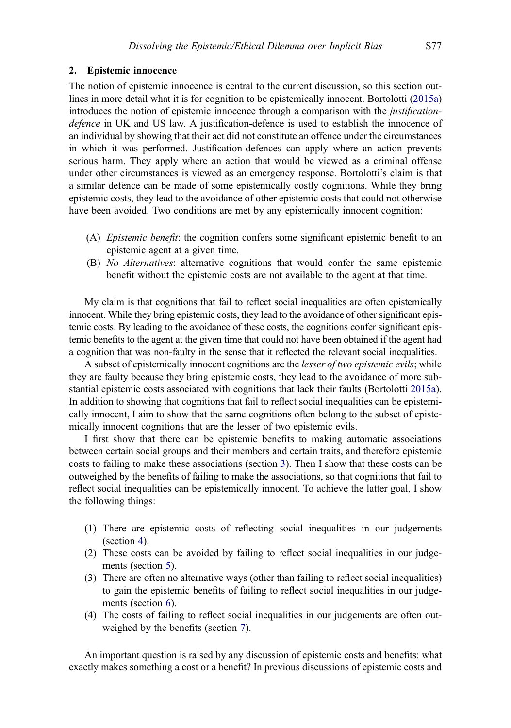#### 2. Epistemic innocence

The notion of epistemic innocence is central to the current discussion, so this section outlines in more detail what it is for cognition to be epistemically innocent. Bortolotti [\(2015a](#page-20-0)) introduces the notion of epistemic innocence through a comparison with the justificationdefence in UK and US law. A justification-defence is used to establish the innocence of an individual by showing that their act did not constitute an offence under the circumstances in which it was performed. Justification-defences can apply where an action prevents serious harm. They apply where an action that would be viewed as a criminal offense under other circumstances is viewed as an emergency response. Bortolotti's claim is that a similar defence can be made of some epistemically costly cognitions. While they bring epistemic costs, they lead to the avoidance of other epistemic costs that could not otherwise have been avoided. Two conditions are met by any epistemically innocent cognition:

- (A) Epistemic benefit: the cognition confers some significant epistemic benefit to an epistemic agent at a given time.
- (B) No Alternatives: alternative cognitions that would confer the same epistemic benefit without the epistemic costs are not available to the agent at that time.

My claim is that cognitions that fail to reflect social inequalities are often epistemically innocent. While they bring epistemic costs, they lead to the avoidance of other significant epistemic costs. By leading to the avoidance of these costs, the cognitions confer significant epistemic benefits to the agent at the given time that could not have been obtained if the agent had a cognition that was non-faulty in the sense that it reflected the relevant social inequalities.

A subset of epistemically innocent cognitions are the *lesser of two epistemic evils*; while they are faulty because they bring epistemic costs, they lead to the avoidance of more substantial epistemic costs associated with cognitions that lack their faults (Bortolotti [2015a\)](#page-20-0). In addition to showing that cognitions that fail to reflect social inequalities can be epistemically innocent, I aim to show that the same cognitions often belong to the subset of epistemically innocent cognitions that are the lesser of two epistemic evils.

I first show that there can be epistemic benefits to making automatic associations between certain social groups and their members and certain traits, and therefore epistemic costs to failing to make these associations (section [3\)](#page-7-0). Then I show that these costs can be outweighed by the benefits of failing to make the associations, so that cognitions that fail to reflect social inequalities can be epistemically innocent. To achieve the latter goal, I show the following things:

- (1) There are epistemic costs of reflecting social inequalities in our judgements (section [4](#page-7-0)).
- (2) These costs can be avoided by failing to reflect social inequalities in our judge-ments (section [5](#page-14-0)).
- (3) There are often no alternative ways (other than failing to reflect social inequalities) to gain the epistemic benefits of failing to reflect social inequalities in our judge-ments (section [6](#page-15-0)).
- (4) The costs of failing to reflect social inequalities in our judgements are often outweighed by the benefits (section [7](#page-15-0)).

An important question is raised by any discussion of epistemic costs and benefits: what exactly makes something a cost or a benefit? In previous discussions of epistemic costs and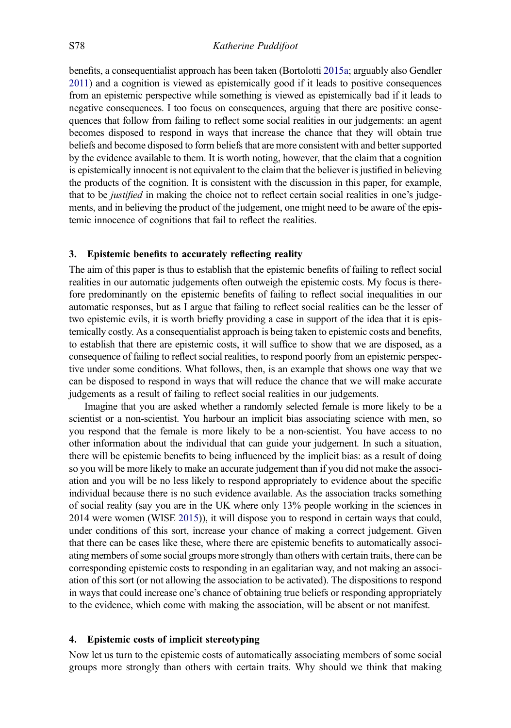<span id="page-7-0"></span>benefits, a consequentialist approach has been taken (Bortolotti [2015a](#page-20-0); arguably also Gendler [2011\)](#page-21-0) and a cognition is viewed as epistemically good if it leads to positive consequences from an epistemic perspective while something is viewed as epistemically bad if it leads to negative consequences. I too focus on consequences, arguing that there are positive consequences that follow from failing to reflect some social realities in our judgements: an agent becomes disposed to respond in ways that increase the chance that they will obtain true beliefs and become disposed to form beliefs that are more consistent with and better supported by the evidence available to them. It is worth noting, however, that the claim that a cognition is epistemically innocent is not equivalent to the claim that the believer is justified in believing the products of the cognition. It is consistent with the discussion in this paper, for example, that to be justified in making the choice not to reflect certain social realities in one's judgements, and in believing the product of the judgement, one might need to be aware of the epistemic innocence of cognitions that fail to reflect the realities.

### 3. Epistemic benefits to accurately reflecting reality

The aim of this paper is thus to establish that the epistemic benefits of failing to reflect social realities in our automatic judgements often outweigh the epistemic costs. My focus is therefore predominantly on the epistemic benefits of failing to reflect social inequalities in our automatic responses, but as I argue that failing to reflect social realities can be the lesser of two epistemic evils, it is worth briefly providing a case in support of the idea that it is epistemically costly. As a consequentialist approach is being taken to epistemic costs and benefits, to establish that there are epistemic costs, it will suffice to show that we are disposed, as a consequence of failing to reflect social realities, to respond poorly from an epistemic perspective under some conditions. What follows, then, is an example that shows one way that we can be disposed to respond in ways that will reduce the chance that we will make accurate judgements as a result of failing to reflect social realities in our judgements.

Imagine that you are asked whether a randomly selected female is more likely to be a scientist or a non-scientist. You harbour an implicit bias associating science with men, so you respond that the female is more likely to be a non-scientist. You have access to no other information about the individual that can guide your judgement. In such a situation, there will be epistemic benefits to being influenced by the implicit bias: as a result of doing so you will be more likely to make an accurate judgement than if you did not make the association and you will be no less likely to respond appropriately to evidence about the specific individual because there is no such evidence available. As the association tracks something of social reality (say you are in the UK where only 13% people working in the sciences in 2014 were women (WISE [2015\)](#page-22-0)), it will dispose you to respond in certain ways that could, under conditions of this sort, increase your chance of making a correct judgement. Given that there can be cases like these, where there are epistemic benefits to automatically associating members of some social groups more strongly than others with certain traits, there can be corresponding epistemic costs to responding in an egalitarian way, and not making an association of this sort (or not allowing the association to be activated). The dispositions to respond in ways that could increase one's chance of obtaining true beliefs or responding appropriately to the evidence, which come with making the association, will be absent or not manifest.

#### 4. Epistemic costs of implicit stereotyping

Now let us turn to the epistemic costs of automatically associating members of some social groups more strongly than others with certain traits. Why should we think that making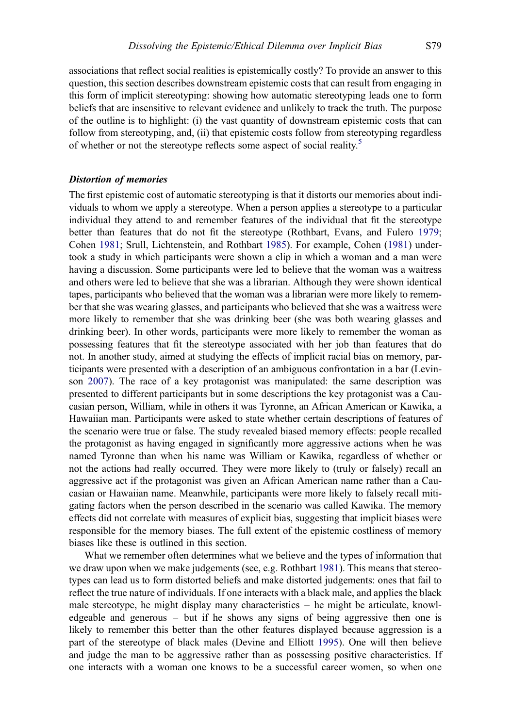<span id="page-8-0"></span>associations that reflect social realities is epistemically costly? To provide an answer to this question, this section describes downstream epistemic costs that can result from engaging in this form of implicit stereotyping: showing how automatic stereotyping leads one to form beliefs that are insensitive to relevant evidence and unlikely to track the truth. The purpose of the outline is to highlight: (i) the vast quantity of downstream epistemic costs that can follow from stereotyping, and, (ii) that epistemic costs follow from stereotyping regardless of whether or not the stereotype reflects some aspect of social reality.<sup>[5](#page-20-0)</sup>

#### Distortion of memories

The first epistemic cost of automatic stereotyping is that it distorts our memories about individuals to whom we apply a stereotype. When a person applies a stereotype to a particular individual they attend to and remember features of the individual that fit the stereotype better than features that do not fit the stereotype (Rothbart, Evans, and Fulero [1979;](#page-22-0) Cohen [1981;](#page-21-0) Srull, Lichtenstein, and Rothbart [1985\)](#page-22-0). For example, Cohen [\(1981](#page-21-0)) undertook a study in which participants were shown a clip in which a woman and a man were having a discussion. Some participants were led to believe that the woman was a waitress and others were led to believe that she was a librarian. Although they were shown identical tapes, participants who believed that the woman was a librarian were more likely to remember that she was wearing glasses, and participants who believed that she was a waitress were more likely to remember that she was drinking beer (she was both wearing glasses and drinking beer). In other words, participants were more likely to remember the woman as possessing features that fit the stereotype associated with her job than features that do not. In another study, aimed at studying the effects of implicit racial bias on memory, participants were presented with a description of an ambiguous confrontation in a bar (Levinson [2007\)](#page-21-0). The race of a key protagonist was manipulated: the same description was presented to different participants but in some descriptions the key protagonist was a Caucasian person, William, while in others it was Tyronne, an African American or Kawika, a Hawaiian man. Participants were asked to state whether certain descriptions of features of the scenario were true or false. The study revealed biased memory effects: people recalled the protagonist as having engaged in significantly more aggressive actions when he was named Tyronne than when his name was William or Kawika, regardless of whether or not the actions had really occurred. They were more likely to (truly or falsely) recall an aggressive act if the protagonist was given an African American name rather than a Caucasian or Hawaiian name. Meanwhile, participants were more likely to falsely recall mitigating factors when the person described in the scenario was called Kawika. The memory effects did not correlate with measures of explicit bias, suggesting that implicit biases were responsible for the memory biases. The full extent of the epistemic costliness of memory biases like these is outlined in this section.

What we remember often determines what we believe and the types of information that we draw upon when we make judgements (see, e.g. Rothbart [1981\)](#page-22-0). This means that stereotypes can lead us to form distorted beliefs and make distorted judgements: ones that fail to reflect the true nature of individuals. If one interacts with a black male, and applies the black male stereotype, he might display many characteristics – he might be articulate, knowledgeable and generous – but if he shows any signs of being aggressive then one is likely to remember this better than the other features displayed because aggression is a part of the stereotype of black males (Devine and Elliott [1995](#page-21-0)). One will then believe and judge the man to be aggressive rather than as possessing positive characteristics. If one interacts with a woman one knows to be a successful career women, so when one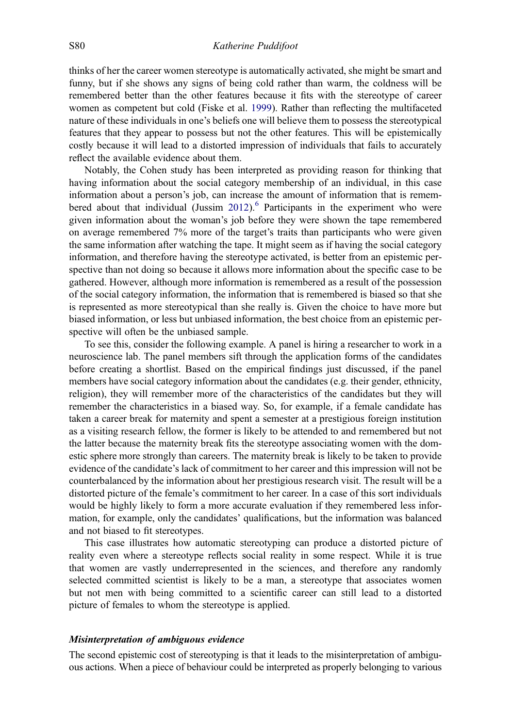<span id="page-9-0"></span>thinks of her the career women stereotype is automatically activated, she might be smart and funny, but if she shows any signs of being cold rather than warm, the coldness will be remembered better than the other features because it fits with the stereotype of career women as competent but cold (Fiske et al. [1999](#page-21-0)). Rather than reflecting the multifaceted nature of these individuals in one's beliefs one will believe them to possess the stereotypical features that they appear to possess but not the other features. This will be epistemically costly because it will lead to a distorted impression of individuals that fails to accurately reflect the available evidence about them.

Notably, the Cohen study has been interpreted as providing reason for thinking that having information about the social category membership of an individual, in this case information about a person's job, can increase the amount of information that is remembered about that individual (Jussim  $2012$ ).<sup>[6](#page-20-0)</sup> Participants in the experiment who were given information about the woman's job before they were shown the tape remembered on average remembered 7% more of the target's traits than participants who were given the same information after watching the tape. It might seem as if having the social category information, and therefore having the stereotype activated, is better from an epistemic perspective than not doing so because it allows more information about the specific case to be gathered. However, although more information is remembered as a result of the possession of the social category information, the information that is remembered is biased so that she is represented as more stereotypical than she really is. Given the choice to have more but biased information, or less but unbiased information, the best choice from an epistemic perspective will often be the unbiased sample.

To see this, consider the following example. A panel is hiring a researcher to work in a neuroscience lab. The panel members sift through the application forms of the candidates before creating a shortlist. Based on the empirical findings just discussed, if the panel members have social category information about the candidates (e.g. their gender, ethnicity, religion), they will remember more of the characteristics of the candidates but they will remember the characteristics in a biased way. So, for example, if a female candidate has taken a career break for maternity and spent a semester at a prestigious foreign institution as a visiting research fellow, the former is likely to be attended to and remembered but not the latter because the maternity break fits the stereotype associating women with the domestic sphere more strongly than careers. The maternity break is likely to be taken to provide evidence of the candidate's lack of commitment to her career and this impression will not be counterbalanced by the information about her prestigious research visit. The result will be a distorted picture of the female's commitment to her career. In a case of this sort individuals would be highly likely to form a more accurate evaluation if they remembered less information, for example, only the candidates' qualifications, but the information was balanced and not biased to fit stereotypes.

This case illustrates how automatic stereotyping can produce a distorted picture of reality even where a stereotype reflects social reality in some respect. While it is true that women are vastly underrepresented in the sciences, and therefore any randomly selected committed scientist is likely to be a man, a stereotype that associates women but not men with being committed to a scientific career can still lead to a distorted picture of females to whom the stereotype is applied.

## Misinterpretation of ambiguous evidence

The second epistemic cost of stereotyping is that it leads to the misinterpretation of ambiguous actions. When a piece of behaviour could be interpreted as properly belonging to various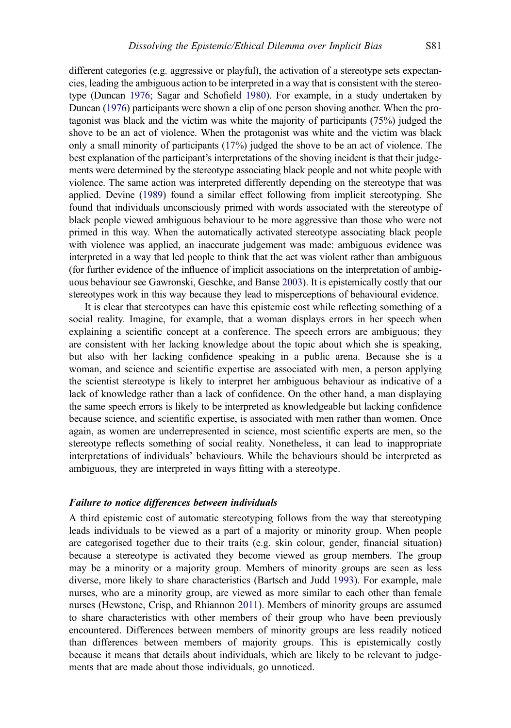<span id="page-10-0"></span>different categories (e.g. aggressive or playful), the activation of a stereotype sets expectancies, leading the ambiguous action to be interpreted in a way that is consistent with the stereotype (Duncan [1976;](#page-21-0) Sagar and Schofield [1980\)](#page-22-0). For example, in a study undertaken by Duncan ([1976](#page-21-0)) participants were shown a clip of one person shoving another. When the protagonist was black and the victim was white the majority of participants (75%) judged the shove to be an act of violence. When the protagonist was white and the victim was black only a small minority of participants (17%) judged the shove to be an act of violence. The best explanation of the participant's interpretations of the shoving incident is that their judgements were determined by the stereotype associating black people and not white people with violence. The same action was interpreted differently depending on the stereotype that was applied. Devine ([1989](#page-21-0)) found a similar effect following from implicit stereotyping. She found that individuals unconsciously primed with words associated with the stereotype of black people viewed ambiguous behaviour to be more aggressive than those who were not primed in this way. When the automatically activated stereotype associating black people with violence was applied, an inaccurate judgement was made: ambiguous evidence was interpreted in a way that led people to think that the act was violent rather than ambiguous (for further evidence of the influence of implicit associations on the interpretation of ambiguous behaviour see Gawronski, Geschke, and Banse [2003](#page-21-0)). It is epistemically costly that our stereotypes work in this way because they lead to misperceptions of behavioural evidence.

It is clear that stereotypes can have this epistemic cost while reflecting something of a social reality. Imagine, for example, that a woman displays errors in her speech when explaining a scientific concept at a conference. The speech errors are ambiguous; they are consistent with her lacking knowledge about the topic about which she is speaking, but also with her lacking confidence speaking in a public arena. Because she is a woman, and science and scientific expertise are associated with men, a person applying the scientist stereotype is likely to interpret her ambiguous behaviour as indicative of a lack of knowledge rather than a lack of confidence. On the other hand, a man displaying the same speech errors is likely to be interpreted as knowledgeable but lacking confidence because science, and scientific expertise, is associated with men rather than women. Once again, as women are underrepresented in science, most scientific experts are men, so the stereotype reflects something of social reality. Nonetheless, it can lead to inappropriate interpretations of individuals' behaviours. While the behaviours should be interpreted as ambiguous, they are interpreted in ways fitting with a stereotype.

## Failure to notice differences between individuals

A third epistemic cost of automatic stereotyping follows from the way that stereotyping leads individuals to be viewed as a part of a majority or minority group. When people are categorised together due to their traits (e.g. skin colour, gender, financial situation) because a stereotype is activated they become viewed as group members. The group may be a minority or a majority group. Members of minority groups are seen as less diverse, more likely to share characteristics (Bartsch and Judd [1993\)](#page-20-0). For example, male nurses, who are a minority group, are viewed as more similar to each other than female nurses (Hewstone, Crisp, and Rhiannon [2011\)](#page-21-0). Members of minority groups are assumed to share characteristics with other members of their group who have been previously encountered. Differences between members of minority groups are less readily noticed than differences between members of majority groups. This is epistemically costly because it means that details about individuals, which are likely to be relevant to judgements that are made about those individuals, go unnoticed.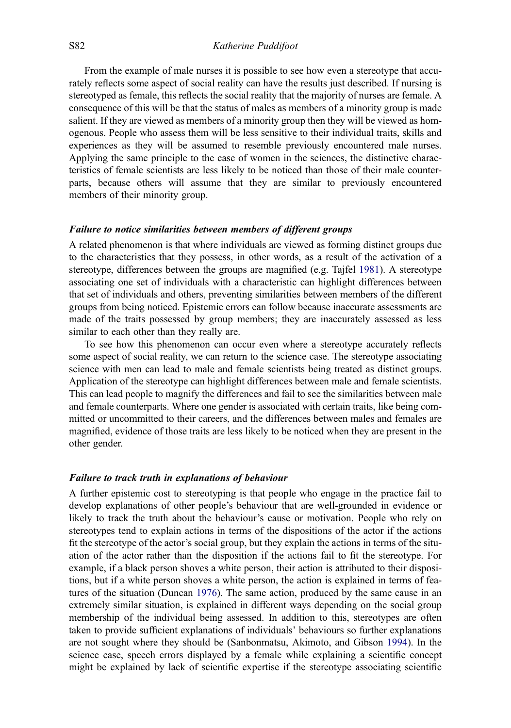<span id="page-11-0"></span>From the example of male nurses it is possible to see how even a stereotype that accurately reflects some aspect of social reality can have the results just described. If nursing is stereotyped as female, this reflects the social reality that the majority of nurses are female. A consequence of this will be that the status of males as members of a minority group is made salient. If they are viewed as members of a minority group then they will be viewed as homogenous. People who assess them will be less sensitive to their individual traits, skills and experiences as they will be assumed to resemble previously encountered male nurses. Applying the same principle to the case of women in the sciences, the distinctive characteristics of female scientists are less likely to be noticed than those of their male counterparts, because others will assume that they are similar to previously encountered members of their minority group.

## Failure to notice similarities between members of different groups

A related phenomenon is that where individuals are viewed as forming distinct groups due to the characteristics that they possess, in other words, as a result of the activation of a stereotype, differences between the groups are magnified (e.g. Tajfel [1981\)](#page-22-0). A stereotype associating one set of individuals with a characteristic can highlight differences between that set of individuals and others, preventing similarities between members of the different groups from being noticed. Epistemic errors can follow because inaccurate assessments are made of the traits possessed by group members; they are inaccurately assessed as less similar to each other than they really are.

To see how this phenomenon can occur even where a stereotype accurately reflects some aspect of social reality, we can return to the science case. The stereotype associating science with men can lead to male and female scientists being treated as distinct groups. Application of the stereotype can highlight differences between male and female scientists. This can lead people to magnify the differences and fail to see the similarities between male and female counterparts. Where one gender is associated with certain traits, like being committed or uncommitted to their careers, and the differences between males and females are magnified, evidence of those traits are less likely to be noticed when they are present in the other gender.

#### Failure to track truth in explanations of behaviour

A further epistemic cost to stereotyping is that people who engage in the practice fail to develop explanations of other people's behaviour that are well-grounded in evidence or likely to track the truth about the behaviour's cause or motivation. People who rely on stereotypes tend to explain actions in terms of the dispositions of the actor if the actions fit the stereotype of the actor's social group, but they explain the actions in terms of the situation of the actor rather than the disposition if the actions fail to fit the stereotype. For example, if a black person shoves a white person, their action is attributed to their dispositions, but if a white person shoves a white person, the action is explained in terms of features of the situation (Duncan [1976\)](#page-21-0). The same action, produced by the same cause in an extremely similar situation, is explained in different ways depending on the social group membership of the individual being assessed. In addition to this, stereotypes are often taken to provide sufficient explanations of individuals' behaviours so further explanations are not sought where they should be (Sanbonmatsu, Akimoto, and Gibson [1994\)](#page-22-0). In the science case, speech errors displayed by a female while explaining a scientific concept might be explained by lack of scientific expertise if the stereotype associating scientific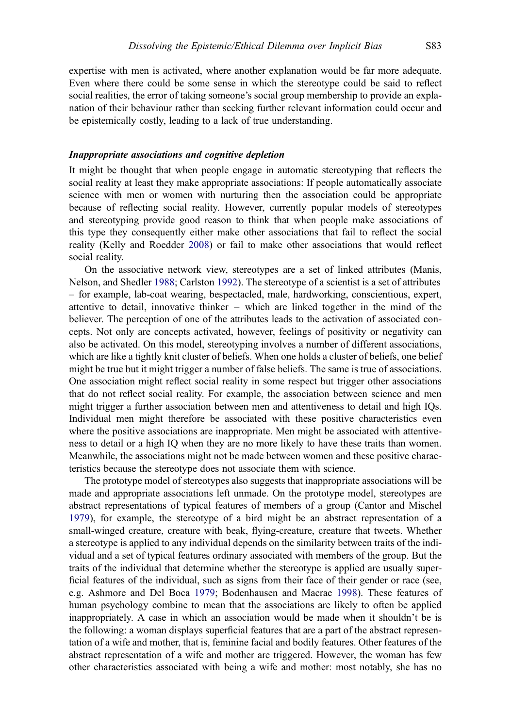<span id="page-12-0"></span>expertise with men is activated, where another explanation would be far more adequate. Even where there could be some sense in which the stereotype could be said to reflect social realities, the error of taking someone's social group membership to provide an explanation of their behaviour rather than seeking further relevant information could occur and be epistemically costly, leading to a lack of true understanding.

#### Inappropriate associations and cognitive depletion

It might be thought that when people engage in automatic stereotyping that reflects the social reality at least they make appropriate associations: If people automatically associate science with men or women with nurturing then the association could be appropriate because of reflecting social reality. However, currently popular models of stereotypes and stereotyping provide good reason to think that when people make associations of this type they consequently either make other associations that fail to reflect the social reality (Kelly and Roedder [2008](#page-21-0)) or fail to make other associations that would reflect social reality.

On the associative network view, stereotypes are a set of linked attributes (Manis, Nelson, and Shedler [1988;](#page-22-0) Carlston [1992](#page-20-0)). The stereotype of a scientist is a set of attributes – for example, lab-coat wearing, bespectacled, male, hardworking, conscientious, expert, attentive to detail, innovative thinker – which are linked together in the mind of the believer. The perception of one of the attributes leads to the activation of associated concepts. Not only are concepts activated, however, feelings of positivity or negativity can also be activated. On this model, stereotyping involves a number of different associations, which are like a tightly knit cluster of beliefs. When one holds a cluster of beliefs, one belief might be true but it might trigger a number of false beliefs. The same is true of associations. One association might reflect social reality in some respect but trigger other associations that do not reflect social reality. For example, the association between science and men might trigger a further association between men and attentiveness to detail and high IQs. Individual men might therefore be associated with these positive characteristics even where the positive associations are inappropriate. Men might be associated with attentiveness to detail or a high IQ when they are no more likely to have these traits than women. Meanwhile, the associations might not be made between women and these positive characteristics because the stereotype does not associate them with science.

The prototype model of stereotypes also suggests that inappropriate associations will be made and appropriate associations left unmade. On the prototype model, stereotypes are abstract representations of typical features of members of a group (Cantor and Mischel [1979\)](#page-20-0), for example, the stereotype of a bird might be an abstract representation of a small-winged creature, creature with beak, flying-creature, creature that tweets. Whether a stereotype is applied to any individual depends on the similarity between traits of the individual and a set of typical features ordinary associated with members of the group. But the traits of the individual that determine whether the stereotype is applied are usually superficial features of the individual, such as signs from their face of their gender or race (see, e.g. Ashmore and Del Boca [1979;](#page-20-0) Bodenhausen and Macrae [1998](#page-20-0)). These features of human psychology combine to mean that the associations are likely to often be applied inappropriately. A case in which an association would be made when it shouldn't be is the following: a woman displays superficial features that are a part of the abstract representation of a wife and mother, that is, feminine facial and bodily features. Other features of the abstract representation of a wife and mother are triggered. However, the woman has few other characteristics associated with being a wife and mother: most notably, she has no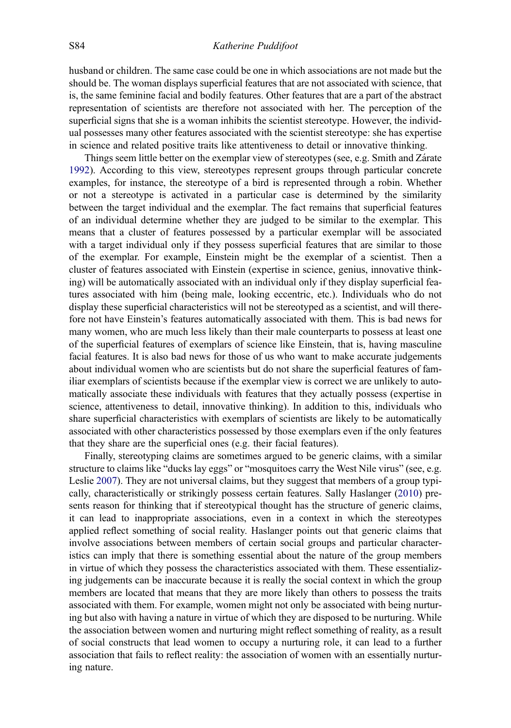<span id="page-13-0"></span>husband or children. The same case could be one in which associations are not made but the should be. The woman displays superficial features that are not associated with science, that is, the same feminine facial and bodily features. Other features that are a part of the abstract representation of scientists are therefore not associated with her. The perception of the superficial signs that she is a woman inhibits the scientist stereotype. However, the individual possesses many other features associated with the scientist stereotype: she has expertise in science and related positive traits like attentiveness to detail or innovative thinking.

Things seem little better on the exemplar view of stereotypes (see, e.g. Smith and Zárate [1992\)](#page-22-0). According to this view, stereotypes represent groups through particular concrete examples, for instance, the stereotype of a bird is represented through a robin. Whether or not a stereotype is activated in a particular case is determined by the similarity between the target individual and the exemplar. The fact remains that superficial features of an individual determine whether they are judged to be similar to the exemplar. This means that a cluster of features possessed by a particular exemplar will be associated with a target individual only if they possess superficial features that are similar to those of the exemplar. For example, Einstein might be the exemplar of a scientist. Then a cluster of features associated with Einstein (expertise in science, genius, innovative thinking) will be automatically associated with an individual only if they display superficial features associated with him (being male, looking eccentric, etc.). Individuals who do not display these superficial characteristics will not be stereotyped as a scientist, and will therefore not have Einstein's features automatically associated with them. This is bad news for many women, who are much less likely than their male counterparts to possess at least one of the superficial features of exemplars of science like Einstein, that is, having masculine facial features. It is also bad news for those of us who want to make accurate judgements about individual women who are scientists but do not share the superficial features of familiar exemplars of scientists because if the exemplar view is correct we are unlikely to automatically associate these individuals with features that they actually possess (expertise in science, attentiveness to detail, innovative thinking). In addition to this, individuals who share superficial characteristics with exemplars of scientists are likely to be automatically associated with other characteristics possessed by those exemplars even if the only features that they share are the superficial ones (e.g. their facial features).

Finally, stereotyping claims are sometimes argued to be generic claims, with a similar structure to claims like "ducks lay eggs" or "mosquitoes carry the West Nile virus" (see, e.g. Leslie [2007](#page-21-0)). They are not universal claims, but they suggest that members of a group typically, characteristically or strikingly possess certain features. Sally Haslanger [\(2010](#page-21-0)) presents reason for thinking that if stereotypical thought has the structure of generic claims, it can lead to inappropriate associations, even in a context in which the stereotypes applied reflect something of social reality. Haslanger points out that generic claims that involve associations between members of certain social groups and particular characteristics can imply that there is something essential about the nature of the group members in virtue of which they possess the characteristics associated with them. These essentializing judgements can be inaccurate because it is really the social context in which the group members are located that means that they are more likely than others to possess the traits associated with them. For example, women might not only be associated with being nurturing but also with having a nature in virtue of which they are disposed to be nurturing. While the association between women and nurturing might reflect something of reality, as a result of social constructs that lead women to occupy a nurturing role, it can lead to a further association that fails to reflect reality: the association of women with an essentially nurturing nature.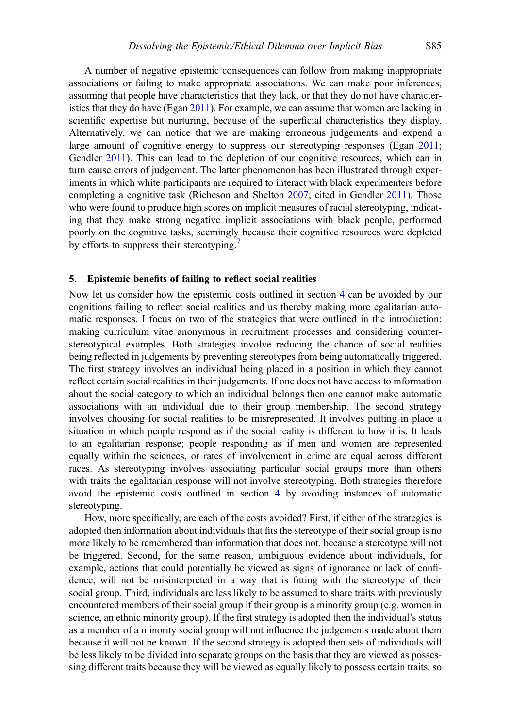<span id="page-14-0"></span>A number of negative epistemic consequences can follow from making inappropriate associations or failing to make appropriate associations. We can make poor inferences, assuming that people have characteristics that they lack, or that they do not have characteristics that they do have (Egan [2011](#page-21-0)). For example, we can assume that women are lacking in scientific expertise but nurturing, because of the superficial characteristics they display. Alternatively, we can notice that we are making erroneous judgements and expend a large amount of cognitive energy to suppress our stereotyping responses (Egan [2011;](#page-21-0) Gendler [2011](#page-21-0)). This can lead to the depletion of our cognitive resources, which can in turn cause errors of judgement. The latter phenomenon has been illustrated through experiments in which white participants are required to interact with black experimenters before completing a cognitive task (Richeson and Shelton [2007;](#page-22-0) cited in Gendler [2011](#page-21-0)). Those who were found to produce high scores on implicit measures of racial stereotyping, indicating that they make strong negative implicit associations with black people, performed poorly on the cognitive tasks, seemingly because their cognitive resources were depleted by efforts to suppress their stereotyping.<sup>[7](#page-20-0)</sup>

## 5. Epistemic benefits of failing to reflect social realities

Now let us consider how the epistemic costs outlined in section [4](#page-7-0) can be avoided by our cognitions failing to reflect social realities and us thereby making more egalitarian automatic responses. I focus on two of the strategies that were outlined in the introduction: making curriculum vitae anonymous in recruitment processes and considering counterstereotypical examples. Both strategies involve reducing the chance of social realities being reflected in judgements by preventing stereotypes from being automatically triggered. The first strategy involves an individual being placed in a position in which they cannot reflect certain social realities in their judgements. If one does not have access to information about the social category to which an individual belongs then one cannot make automatic associations with an individual due to their group membership. The second strategy involves choosing for social realities to be misrepresented. It involves putting in place a situation in which people respond as if the social reality is different to how it is. It leads to an egalitarian response; people responding as if men and women are represented equally within the sciences, or rates of involvement in crime are equal across different races. As stereotyping involves associating particular social groups more than others with traits the egalitarian response will not involve stereotyping. Both strategies therefore avoid the epistemic costs outlined in section [4](#page-7-0) by avoiding instances of automatic stereotyping.

How, more specifically, are each of the costs avoided? First, if either of the strategies is adopted then information about individuals that fits the stereotype of their social group is no more likely to be remembered than information that does not, because a stereotype will not be triggered. Second, for the same reason, ambiguous evidence about individuals, for example, actions that could potentially be viewed as signs of ignorance or lack of confidence, will not be misinterpreted in a way that is fitting with the stereotype of their social group. Third, individuals are less likely to be assumed to share traits with previously encountered members of their social group if their group is a minority group (e.g. women in science, an ethnic minority group). If the first strategy is adopted then the individual's status as a member of a minority social group will not influence the judgements made about them because it will not be known. If the second strategy is adopted then sets of individuals will be less likely to be divided into separate groups on the basis that they are viewed as possessing different traits because they will be viewed as equally likely to possess certain traits, so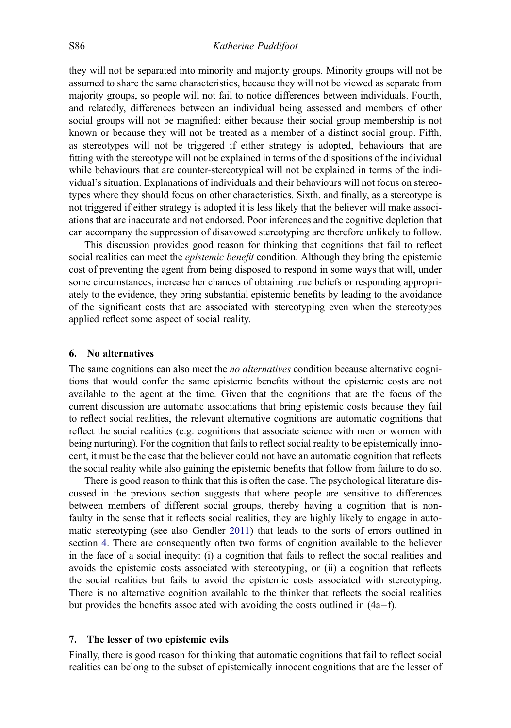<span id="page-15-0"></span>they will not be separated into minority and majority groups. Minority groups will not be assumed to share the same characteristics, because they will not be viewed as separate from majority groups, so people will not fail to notice differences between individuals. Fourth, and relatedly, differences between an individual being assessed and members of other social groups will not be magnified: either because their social group membership is not known or because they will not be treated as a member of a distinct social group. Fifth, as stereotypes will not be triggered if either strategy is adopted, behaviours that are fitting with the stereotype will not be explained in terms of the dispositions of the individual while behaviours that are counter-stereotypical will not be explained in terms of the individual's situation. Explanations of individuals and their behaviours will not focus on stereotypes where they should focus on other characteristics. Sixth, and finally, as a stereotype is not triggered if either strategy is adopted it is less likely that the believer will make associations that are inaccurate and not endorsed. Poor inferences and the cognitive depletion that can accompany the suppression of disavowed stereotyping are therefore unlikely to follow.

This discussion provides good reason for thinking that cognitions that fail to reflect social realities can meet the *epistemic benefit* condition. Although they bring the epistemic cost of preventing the agent from being disposed to respond in some ways that will, under some circumstances, increase her chances of obtaining true beliefs or responding appropriately to the evidence, they bring substantial epistemic benefits by leading to the avoidance of the significant costs that are associated with stereotyping even when the stereotypes applied reflect some aspect of social reality.

#### 6. No alternatives

The same cognitions can also meet the *no alternatives* condition because alternative cognitions that would confer the same epistemic benefits without the epistemic costs are not available to the agent at the time. Given that the cognitions that are the focus of the current discussion are automatic associations that bring epistemic costs because they fail to reflect social realities, the relevant alternative cognitions are automatic cognitions that reflect the social realities (e.g. cognitions that associate science with men or women with being nurturing). For the cognition that fails to reflect social reality to be epistemically innocent, it must be the case that the believer could not have an automatic cognition that reflects the social reality while also gaining the epistemic benefits that follow from failure to do so.

There is good reason to think that this is often the case. The psychological literature discussed in the previous section suggests that where people are sensitive to differences between members of different social groups, thereby having a cognition that is nonfaulty in the sense that it reflects social realities, they are highly likely to engage in automatic stereotyping (see also Gendler [2011](#page-21-0)) that leads to the sorts of errors outlined in section [4](#page-7-0). There are consequently often two forms of cognition available to the believer in the face of a social inequity: (i) a cognition that fails to reflect the social realities and avoids the epistemic costs associated with stereotyping, or (ii) a cognition that reflects the social realities but fails to avoid the epistemic costs associated with stereotyping. There is no alternative cognition available to the thinker that reflects the social realities but provides the benefits associated with avoiding the costs outlined in  $(4a-f)$ .

#### 7. The lesser of two epistemic evils

Finally, there is good reason for thinking that automatic cognitions that fail to reflect social realities can belong to the subset of epistemically innocent cognitions that are the lesser of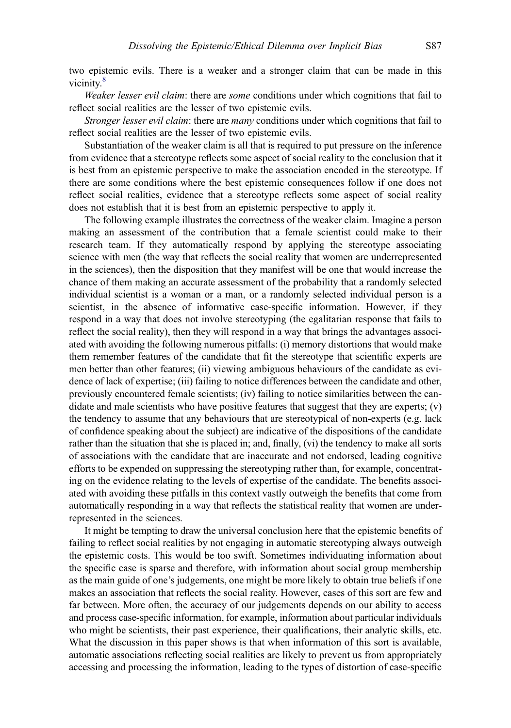two epistemic evils. There is a weaker and a stronger claim that can be made in this vicinity.<sup>[8](#page-20-0)</sup>

Weaker lesser evil claim: there are some conditions under which cognitions that fail to reflect social realities are the lesser of two epistemic evils.

Stronger lesser evil claim: there are many conditions under which cognitions that fail to reflect social realities are the lesser of two epistemic evils.

Substantiation of the weaker claim is all that is required to put pressure on the inference from evidence that a stereotype reflects some aspect of social reality to the conclusion that it is best from an epistemic perspective to make the association encoded in the stereotype. If there are some conditions where the best epistemic consequences follow if one does not reflect social realities, evidence that a stereotype reflects some aspect of social reality does not establish that it is best from an epistemic perspective to apply it.

The following example illustrates the correctness of the weaker claim. Imagine a person making an assessment of the contribution that a female scientist could make to their research team. If they automatically respond by applying the stereotype associating science with men (the way that reflects the social reality that women are underrepresented in the sciences), then the disposition that they manifest will be one that would increase the chance of them making an accurate assessment of the probability that a randomly selected individual scientist is a woman or a man, or a randomly selected individual person is a scientist, in the absence of informative case-specific information. However, if they respond in a way that does not involve stereotyping (the egalitarian response that fails to reflect the social reality), then they will respond in a way that brings the advantages associated with avoiding the following numerous pitfalls: (i) memory distortions that would make them remember features of the candidate that fit the stereotype that scientific experts are men better than other features; (ii) viewing ambiguous behaviours of the candidate as evidence of lack of expertise; (iii) failing to notice differences between the candidate and other, previously encountered female scientists; (iv) failing to notice similarities between the candidate and male scientists who have positive features that suggest that they are experts;  $(v)$ the tendency to assume that any behaviours that are stereotypical of non-experts (e.g. lack of confidence speaking about the subject) are indicative of the dispositions of the candidate rather than the situation that she is placed in; and, finally, (vi) the tendency to make all sorts of associations with the candidate that are inaccurate and not endorsed, leading cognitive efforts to be expended on suppressing the stereotyping rather than, for example, concentrating on the evidence relating to the levels of expertise of the candidate. The benefits associated with avoiding these pitfalls in this context vastly outweigh the benefits that come from automatically responding in a way that reflects the statistical reality that women are underrepresented in the sciences.

It might be tempting to draw the universal conclusion here that the epistemic benefits of failing to reflect social realities by not engaging in automatic stereotyping always outweigh the epistemic costs. This would be too swift. Sometimes individuating information about the specific case is sparse and therefore, with information about social group membership as the main guide of one's judgements, one might be more likely to obtain true beliefs if one makes an association that reflects the social reality. However, cases of this sort are few and far between. More often, the accuracy of our judgements depends on our ability to access and process case-specific information, for example, information about particular individuals who might be scientists, their past experience, their qualifications, their analytic skills, etc. What the discussion in this paper shows is that when information of this sort is available, automatic associations reflecting social realities are likely to prevent us from appropriately accessing and processing the information, leading to the types of distortion of case-specific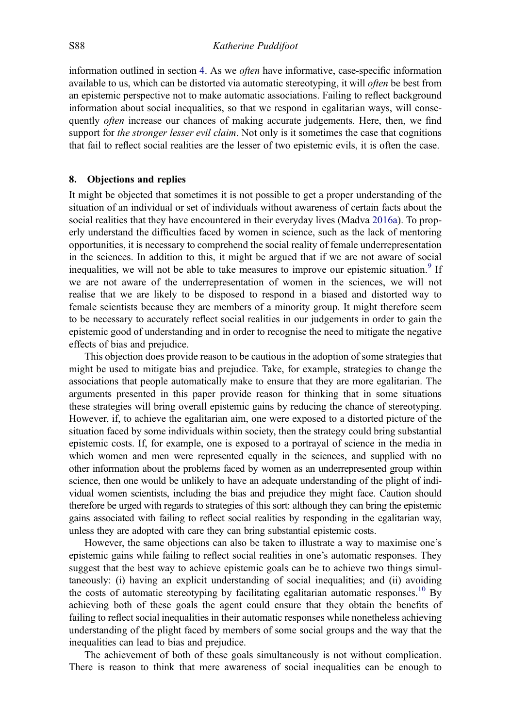information outlined in section [4.](#page-7-0) As we often have informative, case-specific information available to us, which can be distorted via automatic stereotyping, it will *often* be best from an epistemic perspective not to make automatic associations. Failing to reflect background information about social inequalities, so that we respond in egalitarian ways, will consequently *often* increase our chances of making accurate judgements. Here, then, we find support for the stronger lesser evil claim. Not only is it sometimes the case that cognitions that fail to reflect social realities are the lesser of two epistemic evils, it is often the case.

## 8. Objections and replies

It might be objected that sometimes it is not possible to get a proper understanding of the situation of an individual or set of individuals without awareness of certain facts about the social realities that they have encountered in their everyday lives (Madva [2016a\)](#page-21-0). To properly understand the difficulties faced by women in science, such as the lack of mentoring opportunities, it is necessary to comprehend the social reality of female underrepresentation in the sciences. In addition to this, it might be argued that if we are not aware of social inequalities, we will not be able to take measures to improve our epistemic situation.<sup>[9](#page-20-0)</sup> If we are not aware of the underrepresentation of women in the sciences, we will not realise that we are likely to be disposed to respond in a biased and distorted way to female scientists because they are members of a minority group. It might therefore seem to be necessary to accurately reflect social realities in our judgements in order to gain the epistemic good of understanding and in order to recognise the need to mitigate the negative effects of bias and prejudice.

This objection does provide reason to be cautious in the adoption of some strategies that might be used to mitigate bias and prejudice. Take, for example, strategies to change the associations that people automatically make to ensure that they are more egalitarian. The arguments presented in this paper provide reason for thinking that in some situations these strategies will bring overall epistemic gains by reducing the chance of stereotyping. However, if, to achieve the egalitarian aim, one were exposed to a distorted picture of the situation faced by some individuals within society, then the strategy could bring substantial epistemic costs. If, for example, one is exposed to a portrayal of science in the media in which women and men were represented equally in the sciences, and supplied with no other information about the problems faced by women as an underrepresented group within science, then one would be unlikely to have an adequate understanding of the plight of individual women scientists, including the bias and prejudice they might face. Caution should therefore be urged with regards to strategies of this sort: although they can bring the epistemic gains associated with failing to reflect social realities by responding in the egalitarian way, unless they are adopted with care they can bring substantial epistemic costs.

However, the same objections can also be taken to illustrate a way to maximise one's epistemic gains while failing to reflect social realities in one's automatic responses. They suggest that the best way to achieve epistemic goals can be to achieve two things simultaneously: (i) having an explicit understanding of social inequalities; and (ii) avoiding the costs of automatic stereotyping by facilitating egalitarian automatic responses.<sup>[10](#page-20-0)</sup> By achieving both of these goals the agent could ensure that they obtain the benefits of failing to reflect social inequalities in their automatic responses while nonetheless achieving understanding of the plight faced by members of some social groups and the way that the inequalities can lead to bias and prejudice.

The achievement of both of these goals simultaneously is not without complication. There is reason to think that mere awareness of social inequalities can be enough to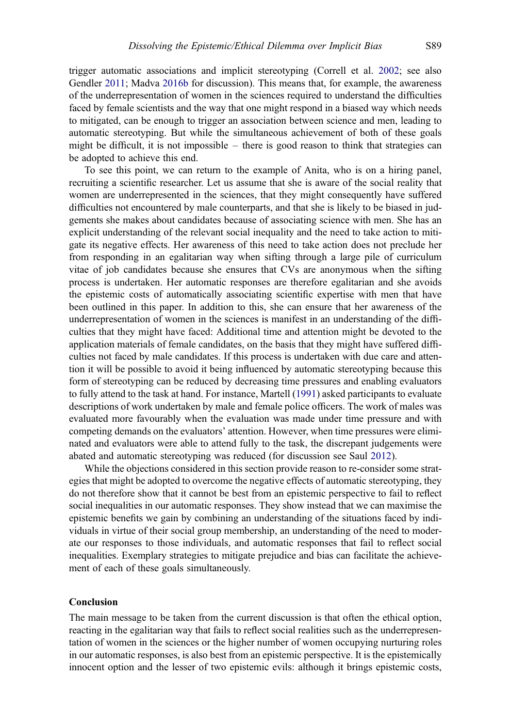<span id="page-18-0"></span>trigger automatic associations and implicit stereotyping (Correll et al. [2002;](#page-21-0) see also Gendler [2011](#page-21-0); Madva [2016b](#page-21-0) for discussion). This means that, for example, the awareness of the underrepresentation of women in the sciences required to understand the difficulties faced by female scientists and the way that one might respond in a biased way which needs to mitigated, can be enough to trigger an association between science and men, leading to automatic stereotyping. But while the simultaneous achievement of both of these goals might be difficult, it is not impossible  $-$  there is good reason to think that strategies can be adopted to achieve this end.

To see this point, we can return to the example of Anita, who is on a hiring panel, recruiting a scientific researcher. Let us assume that she is aware of the social reality that women are underrepresented in the sciences, that they might consequently have suffered difficulties not encountered by male counterparts, and that she is likely to be biased in judgements she makes about candidates because of associating science with men. She has an explicit understanding of the relevant social inequality and the need to take action to mitigate its negative effects. Her awareness of this need to take action does not preclude her from responding in an egalitarian way when sifting through a large pile of curriculum vitae of job candidates because she ensures that CVs are anonymous when the sifting process is undertaken. Her automatic responses are therefore egalitarian and she avoids the epistemic costs of automatically associating scientific expertise with men that have been outlined in this paper. In addition to this, she can ensure that her awareness of the underrepresentation of women in the sciences is manifest in an understanding of the difficulties that they might have faced: Additional time and attention might be devoted to the application materials of female candidates, on the basis that they might have suffered difficulties not faced by male candidates. If this process is undertaken with due care and attention it will be possible to avoid it being influenced by automatic stereotyping because this form of stereotyping can be reduced by decreasing time pressures and enabling evaluators to fully attend to the task at hand. For instance, Martell ([1991\)](#page-22-0) asked participants to evaluate descriptions of work undertaken by male and female police officers. The work of males was evaluated more favourably when the evaluation was made under time pressure and with competing demands on the evaluators' attention. However, when time pressures were eliminated and evaluators were able to attend fully to the task, the discrepant judgements were abated and automatic stereotyping was reduced (for discussion see Saul [2012](#page-22-0)).

While the objections considered in this section provide reason to re-consider some strategies that might be adopted to overcome the negative effects of automatic stereotyping, they do not therefore show that it cannot be best from an epistemic perspective to fail to reflect social inequalities in our automatic responses. They show instead that we can maximise the epistemic benefits we gain by combining an understanding of the situations faced by individuals in virtue of their social group membership, an understanding of the need to moderate our responses to those individuals, and automatic responses that fail to reflect social inequalities. Exemplary strategies to mitigate prejudice and bias can facilitate the achievement of each of these goals simultaneously.

#### Conclusion

The main message to be taken from the current discussion is that often the ethical option, reacting in the egalitarian way that fails to reflect social realities such as the underrepresentation of women in the sciences or the higher number of women occupying nurturing roles in our automatic responses, is also best from an epistemic perspective. It is the epistemically innocent option and the lesser of two epistemic evils: although it brings epistemic costs,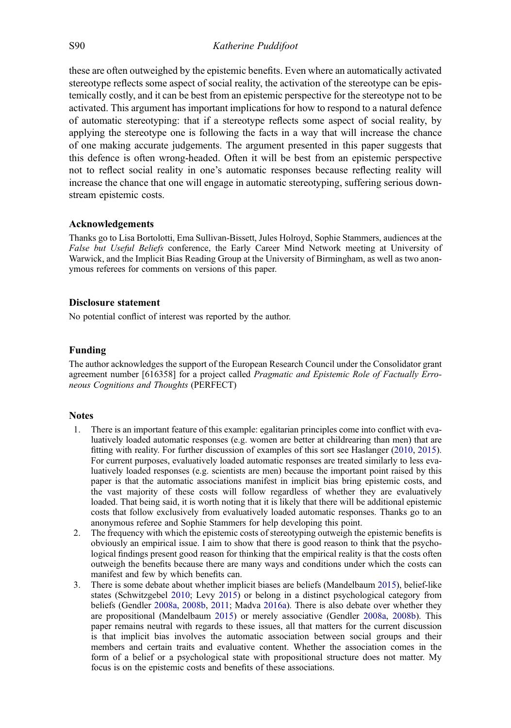<span id="page-19-0"></span>these are often outweighed by the epistemic benefits. Even where an automatically activated stereotype reflects some aspect of social reality, the activation of the stereotype can be epistemically costly, and it can be best from an epistemic perspective for the stereotype not to be activated. This argument has important implications for how to respond to a natural defence of automatic stereotyping: that if a stereotype reflects some aspect of social reality, by applying the stereotype one is following the facts in a way that will increase the chance of one making accurate judgements. The argument presented in this paper suggests that this defence is often wrong-headed. Often it will be best from an epistemic perspective not to reflect social reality in one's automatic responses because reflecting reality will increase the chance that one will engage in automatic stereotyping, suffering serious downstream epistemic costs.

## Acknowledgements

Thanks go to Lisa Bortolotti, Ema Sullivan-Bissett, Jules Holroyd, Sophie Stammers, audiences at the False but Useful Beliefs conference, the Early Career Mind Network meeting at University of Warwick, and the Implicit Bias Reading Group at the University of Birmingham, as well as two anonymous referees for comments on versions of this paper.

#### Disclosure statement

No potential conflict of interest was reported by the author.

#### Funding

The author acknowledges the support of the European Research Council under the Consolidator grant agreement number [616358] for a project called Pragmatic and Epistemic Role of Factually Erroneous Cognitions and Thoughts (PERFECT)

## **Notes**

- 1. There is an important feature of this example: egalitarian principles come into conflict with evaluatively loaded automatic responses (e.g. women are better at childrearing than men) that are fitting with reality. For further discussion of examples of this sort see Haslanger ([2010,](#page-21-0) [2015](#page-21-0)). For current purposes, evaluatively loaded automatic responses are treated similarly to less evaluatively loaded responses (e.g. scientists are men) because the important point raised by this paper is that the automatic associations manifest in implicit bias bring epistemic costs, and the vast majority of these costs will follow regardless of whether they are evaluatively loaded. That being said, it is worth noting that it is likely that there will be additional epistemic costs that follow exclusively from evaluatively loaded automatic responses. Thanks go to an anonymous referee and Sophie Stammers for help developing this point.
- 2. The frequency with which the epistemic costs of stereotyping outweigh the epistemic benefits is obviously an empirical issue. I aim to show that there is good reason to think that the psychological findings present good reason for thinking that the empirical reality is that the costs often outweigh the benefits because there are many ways and conditions under which the costs can manifest and few by which benefits can.
- 3. There is some debate about whether implicit biases are beliefs (Mandelbaum [2015\)](#page-21-0), belief-like states (Schwitzgebel [2010](#page-22-0); Levy [2015](#page-21-0)) or belong in a distinct psychological category from beliefs (Gendler [2008a,](#page-21-0) [2008b,](#page-21-0) [2011](#page-21-0); Madva [2016a\)](#page-21-0). There is also debate over whether they are propositional (Mandelbaum [2015\)](#page-21-0) or merely associative (Gendler [2008a,](#page-21-0) [2008b\)](#page-21-0). This paper remains neutral with regards to these issues, all that matters for the current discussion is that implicit bias involves the automatic association between social groups and their members and certain traits and evaluative content. Whether the association comes in the form of a belief or a psychological state with propositional structure does not matter. My focus is on the epistemic costs and benefits of these associations.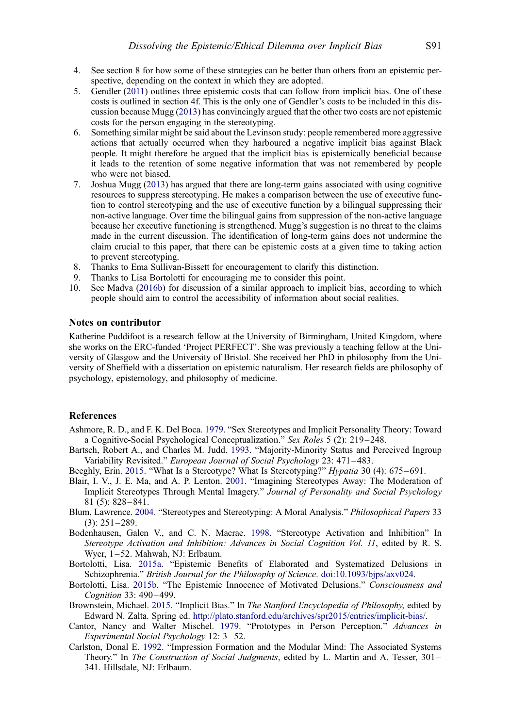- <span id="page-20-0"></span>4. See section 8 for how some of these strategies can be better than others from an epistemic perspective, depending on the context in which they are adopted.
- 5. Gendler [\(2011\)](#page-21-0) outlines three epistemic costs that can follow from implicit bias. One of these costs is outlined in section 4f. This is the only one of Gendler's costs to be included in this discussion because Mugg ([2013\)](#page-22-0) has convincingly argued that the other two costs are not epistemic costs for the person engaging in the stereotyping.
- 6. Something similar might be said about the Levinson study: people remembered more aggressive actions that actually occurred when they harboured a negative implicit bias against Black people. It might therefore be argued that the implicit bias is epistemically beneficial because it leads to the retention of some negative information that was not remembered by people who were not biased.
- 7. Joshua Mugg ([2013\)](#page-22-0) has argued that there are long-term gains associated with using cognitive resources to suppress stereotyping. He makes a comparison between the use of executive function to control stereotyping and the use of executive function by a bilingual suppressing their non-active language. Over time the bilingual gains from suppression of the non-active language because her executive functioning is strengthened. Mugg's suggestion is no threat to the claims made in the current discussion. The identification of long-term gains does not undermine the claim crucial to this paper, that there can be epistemic costs at a given time to taking action to prevent stereotyping.
- 8. Thanks to Ema Sullivan-Bissett for encouragement to clarify this distinction.
- 9. Thanks to Lisa Bortolotti for encouraging me to consider this point.
- 10. See Madva [\(2016b\)](#page-21-0) for discussion of a similar approach to implicit bias, according to which people should aim to control the accessibility of information about social realities.

#### Notes on contributor

Katherine Puddifoot is a research fellow at the University of Birmingham, United Kingdom, where she works on the ERC-funded 'Project PERFECT'. She was previously a teaching fellow at the University of Glasgow and the University of Bristol. She received her PhD in philosophy from the University of Sheffield with a dissertation on epistemic naturalism. Her research fields are philosophy of psychology, epistemology, and philosophy of medicine.

### References

- Ashmore, R. D., and F. K. Del Boca. [1979.](#page-12-0) "Sex Stereotypes and Implicit Personality Theory: Toward a Cognitive-Social Psychological Conceptualization." Sex Roles 5 (2): 219 –248.
- Bartsch, Robert A., and Charles M. Judd. [1993.](#page-10-0) "Majority-Minority Status and Perceived Ingroup Variability Revisited." European Journal of Social Psychology 23: 471– 483.
- Beeghly, Erin. [2015](#page-4-0). "What Is a Stereotype? What Is Stereotyping?" Hypatia 30 (4): 675-691.
- Blair, I. V., J. E. Ma, and A. P. Lenton. [2001](#page-5-0). "Imagining Stereotypes Away: The Moderation of Implicit Stereotypes Through Mental Imagery." Journal of Personality and Social Psychology 81 (5): 828 –841.
- Blum, Lawrence. [2004](#page-4-0). "Stereotypes and Stereotyping: A Moral Analysis." Philosophical Papers 33  $(3): 251 - 289.$
- Bodenhausen, Galen V., and C. N. Macrae. [1998](#page-12-0). "Stereotype Activation and Inhibition" In Stereotype Activation and Inhibition: Advances in Social Cognition Vol. 11, edited by R. S. Wyer, 1-52. Mahwah, NJ: Erlbaum.
- Bortolotti, Lisa. [2015a.](#page-3-0) "Epistemic Benefits of Elaborated and Systematized Delusions in Schizophrenia." British Journal for the Philosophy of Science. [doi:10.1093/bjps/axv024](http://dx.doi.org/10.1093/bjps/axv024).
- Bortolotti, Lisa. [2015b](#page-3-0). "The Epistemic Innocence of Motivated Delusions." Consciousness and Cognition 33: 490-499.
- Brownstein, Michael. [2015.](#page-3-0) "Implicit Bias." In The Stanford Encyclopedia of Philosophy, edited by Edward N. Zalta. Spring ed. [http://plato.stanford.edu/archives/spr2015/entries/implicit-bias/.](http://plato.stanford.edu/archives/spr2015/entries/implicit-bias/)
- Cantor, Nancy and Walter Mischel. [1979.](#page-12-0) "Prototypes in Person Perception." Advances in Experimental Social Psychology 12: 3– 52.
- Carlston, Donal E. [1992](#page-12-0). "Impression Formation and the Modular Mind: The Associated Systems Theory." In The Construction of Social Judgments, edited by L. Martin and A. Tesser, 301– 341. Hillsdale, NJ: Erlbaum.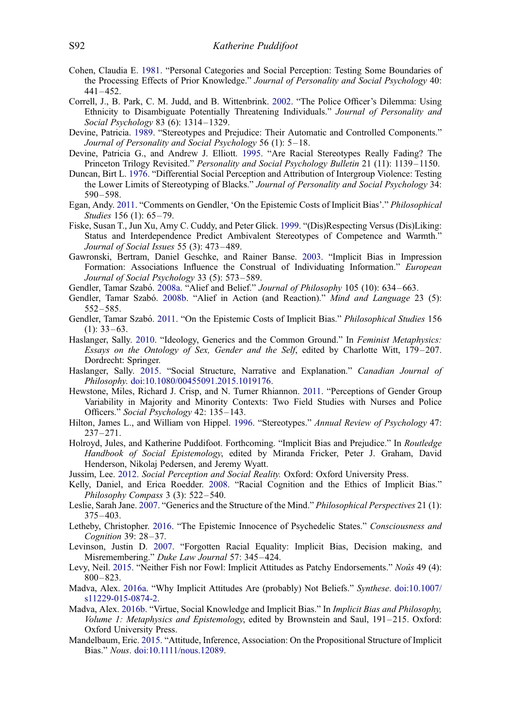- <span id="page-21-0"></span>Cohen, Claudia E. [1981.](#page-8-0) "Personal Categories and Social Perception: Testing Some Boundaries of the Processing Effects of Prior Knowledge." Journal of Personality and Social Psychology 40:  $441 - 452$ .
- Correll, J., B. Park, C. M. Judd, and B. Wittenbrink. [2002.](#page-18-0) "The Police Officer's Dilemma: Using Ethnicity to Disambiguate Potentially Threatening Individuals." Journal of Personality and Social Psychology 83 (6): 1314–1329.
- Devine, Patricia. [1989.](#page-10-0) "Stereotypes and Prejudice: Their Automatic and Controlled Components." Journal of Personality and Social Psychology 56 (1): 5–18.
- Devine, Patricia G., and Andrew J. Elliott. [1995.](#page-8-0) "Are Racial Stereotypes Really Fading? The Princeton Trilogy Revisited." Personality and Social Psychology Bulletin 21 (11): 1139-1150.
- Duncan, Birt L. [1976](#page-10-0). "Differential Social Perception and Attribution of Intergroup Violence: Testing the Lower Limits of Stereotyping of Blacks." Journal of Personality and Social Psychology 34: 590– 598.
- Egan, Andy. [2011.](#page-3-0) "Comments on Gendler, 'On the Epistemic Costs of Implicit Bias'." Philosophical Studies 156 (1): 65–79.
- Fiske, Susan T., Jun Xu, Amy C. Cuddy, and Peter Glick. [1999.](#page-9-0) "(Dis)Respecting Versus (Dis)Liking: Status and Interdependence Predict Ambivalent Stereotypes of Competence and Warmth." Journal of Social Issues 55 (3): 473 –489.
- Gawronski, Bertram, Daniel Geschke, and Rainer Banse. [2003.](#page-10-0) "Implicit Bias in Impression Formation: Associations Influence the Construal of Individuating Information." European Journal of Social Psychology 33 (5): 573 –589.
- Gendler, Tamar Szabó. [2008a.](#page-19-0) "Alief and Belief." Journal of Philosophy 105 (10): 634–663.
- Gendler, Tamar Szabó. [2008b.](#page-19-0) "Alief in Action (and Reaction)." Mind and Language 23 (5): 552– 585.
- Gendler, Tamar Szabó. [2011.](#page-3-0) "On the Epistemic Costs of Implicit Bias." Philosophical Studies 156  $(1): 33 - 63.$
- Haslanger, Sally. [2010](#page-3-0). "Ideology, Generics and the Common Ground." In Feminist Metaphysics: Essays on the Ontology of Sex, Gender and the Self, edited by Charlotte Witt, 179-207. Dordrecht: Springer.
- Haslanger, Sally. [2015.](#page-19-0) "Social Structure, Narrative and Explanation." Canadian Journal of Philosophy. [doi:10.1080/00455091.2015.1019176.](http://dx.doi.org/10.1080/00455091.2015.1019176)
- Hewstone, Miles, Richard J. Crisp, and N. Turner Rhiannon. [2011](#page-10-0). "Perceptions of Gender Group Variability in Majority and Minority Contexts: Two Field Studies with Nurses and Police Officers." Social Psychology 42: 135-143.
- Hilton, James L., and William von Hippel. [1996.](#page-4-0) "Stereotypes." Annual Review of Psychology 47:  $237 - 271.$
- Holroyd, Jules, and Katherine Puddifoot. Forthcoming. "Implicit Bias and Prejudice." In Routledge Handbook of Social Epistemology, edited by Miranda Fricker, Peter J. Graham, David Henderson, Nikolaj Pedersen, and Jeremy Wyatt.
- Jussim, Lee. [2012](#page-9-0). Social Perception and Social Reality. Oxford: Oxford University Press.
- Kelly, Daniel, and Erica Roedder. [2008.](#page-3-0) "Racial Cognition and the Ethics of Implicit Bias." Philosophy Compass  $3$  (3):  $522 - 540$ .
- Leslie, Sarah Jane. [2007](#page-13-0). "Generics and the Structure of the Mind." Philosophical Perspectives 21 (1):  $375 - 403$ .
- Letheby, Christopher. [2016.](#page-3-0) "The Epistemic Innocence of Psychedelic States." Consciousness and Cognition 39: 28–37.
- Levinson, Justin D. [2007](#page-8-0). "Forgotten Racial Equality: Implicit Bias, Decision making, and Misremembering." Duke Law Journal 57: 345 –424.
- Levy, Neil. [2015](#page-19-0). "Neither Fish nor Fowl: Implicit Attitudes as Patchy Endorsements." Nous 49 (4):  $800 - 823$ .
- Madva, Alex. [2016a](#page-5-0). "Why Implicit Attitudes Are (probably) Not Beliefs." Synthese. [doi:10.1007/](http://dx.doi.org/10.1007/s11229-015-0874-2) [s11229-015-0874-2.](http://dx.doi.org/10.1007/s11229-015-0874-2)
- Madva, Alex. [2016b](#page-18-0). "Virtue, Social Knowledge and Implicit Bias." In Implicit Bias and Philosophy, Volume 1: Metaphysics and Epistemology, edited by Brownstein and Saul, 191–215. Oxford: Oxford University Press.
- Mandelbaum, Eric. [2015.](#page-19-0) "Attitude, Inference, Association: On the Propositional Structure of Implicit Bias." Nous. [doi:10.1111/nous.12089](http://dx.doi.org/10.1111/nous.12089).